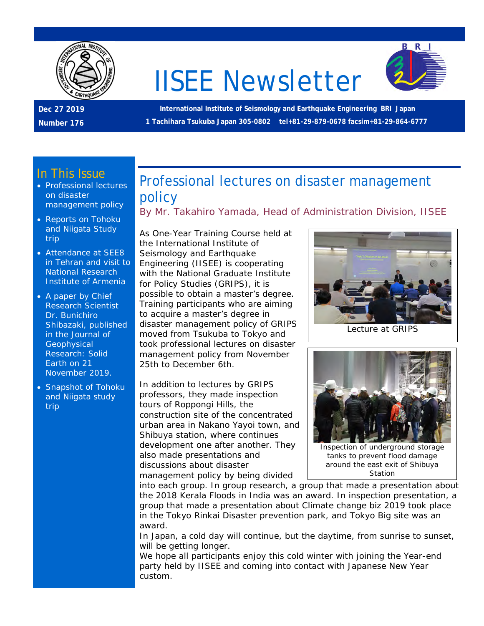

# IISEE Newsletter



**International Institute of Seismology and Earthquake Engineering BRI Japan 1 Tachihara Tsukuba Japan 305-0802 tel+81-29-879-0678 facsim+81-29-864-6777**

#### In This Issue

- Professional lectures on disaster management policy
- Reports on Tohoku and Niigata Study trip
- Attendance at SEE8 in Tehran and visit to National Research Institute of Armenia
- A paper by Chief Research Scientist Dr. Bunichiro Shibazaki, published in the *Journal of Geophysical Research: Solid Earth* on 21 November 2019.
- Snapshot of Tohoku and Niigata study trip

Professional lectures on disaster management policy

By Mr. Takahiro Yamada, Head of Administration Division, IISEE

As One-Year Training Course held at the International Institute of Seismology and Earthquake Engineering (IISEE) is cooperating with the National Graduate Institute for Policy Studies (GRIPS), it is possible to obtain a master's degree. Training participants who are aiming to acquire a master's degree in disaster management policy of GRIPS moved from Tsukuba to Tokyo and took professional lectures on disaster management policy from November 25th to December 6th.

In addition to lectures by GRIPS professors, they made inspection tours of Roppongi Hills, the construction site of the concentrated urban area in Nakano Yayoi town, and Shibuya station, where continues development one after another. They also made presentations and discussions about disaster management policy by being divided



Lecture at GRIPS



Inspection of underground storage tanks to prevent flood damage around the east exit of Shibuya Station

into each group. In group research, a group that made a presentation about the 2018 Kerala Floods in India was an award. In inspection presentation, a group that made a presentation about Climate change biz 2019 took place in the Tokyo Rinkai Disaster prevention park, and Tokyo Big site was an award.

In Japan, a cold day will continue, but the daytime, from sunrise to sunset, will be getting longer.

We hope all participants enjoy this cold winter with joining the Year-end party held by IISEE and coming into contact with Japanese New Year custom.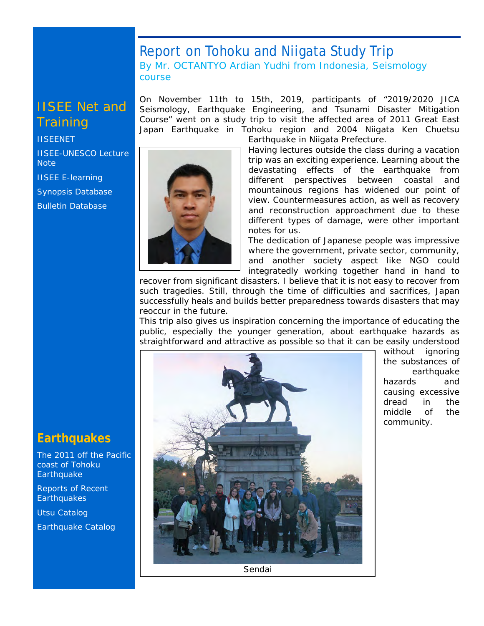#### Report on Tohoku and Niigata Study Trip By Mr. OCTANTYO Ardian Yudhi from Indonesia, Seismology course

On November 11th to 15th, 2019, participants of "2019/2020 JICA Seismology, Earthquake Engineering, and Tsunami Disaster Mitigation Course" went on a study trip to visit the affected area of 2011 Great East

## IISEE Net and **Training**

**[IISEENET](http://iisee.kenken.go.jp/net/)** [IISEE-UNESCO Lecture](http://iisee/lna/)  **[Note](http://iisee/lna/)** [IISEE E-learning](http://iisee/el/) [Synopsis Database](http://iisee/syndb/) [Bulletin Database](http://iisee/bltndb/)

Japan Earthquake in Tohoku region and 2004 Niigata Ken Chuetsu Earthquake in Niigata Prefecture. Having lectures outside the class during a vacation trip was an exciting experience. Learning about the devastating effects of the earthquake from

different perspectives between coastal and mountainous regions has widened our point of view. Countermeasures action, as well as recovery and reconstruction approachment due to these different types of damage, were other important notes for us.

The dedication of Japanese people was impressive where the government, private sector, community, and another society aspect like NGO could integratedly working together hand in hand to

recover from significant disasters. I believe that it is not easy to recover from such tragedies. Still, through the time of difficulties and sacrifices, Japan successfully heals and builds better preparedness towards disasters that may reoccur in the future.

This trip also gives us inspiration concerning the importance of educating the public, especially the younger generation, about earthquake hazards as straightforward and attractive as possible so that it can be easily understood



without ignoring the substances of earthquake hazards and causing excessive dread in the middle of the community.

**Earthquakes**

[The 2011 off the Pacific](http://iisee/special2/20110311tohoku.htm)  [coast of Tohoku](http://iisee/special2/20110311tohoku.htm)  **[Earthquake](http://iisee/special2/20110311tohoku.htm)** 

[Reports of Recent](http://iisee/quakes.htm)  **[Earthquakes](http://iisee/quakes.htm)** 

[Utsu Catalog](http://iisee/utsu/index_eng.html)

[Earthquake Catalog](http://iisee/eqcat/Top_page_en.htm)

Sendai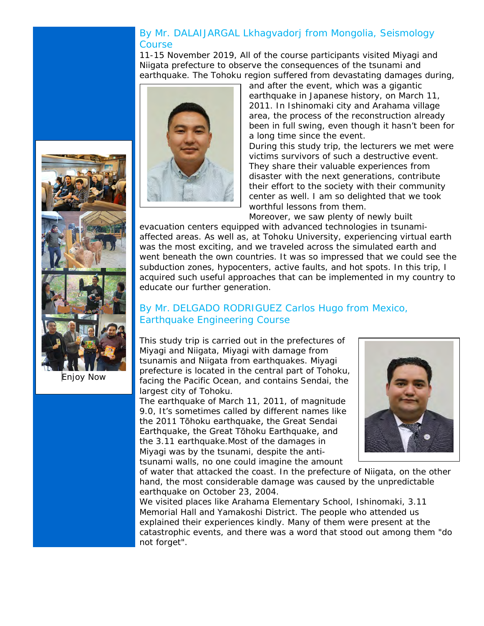#### By Mr. DALAIJARGAL Lkhagvadorj from Mongolia, Seismology **Course**

11-15 November 2019, All of the course participants visited Miyagi and Niigata prefecture to observe the consequences of the tsunami and earthquake. The Tohoku region suffered from devastating damages during,

> and after the event, which was a gigantic earthquake in Japanese history, on March 11, 2011. In Ishinomaki city and Arahama village area, the process of the reconstruction already been in full swing, even though it hasn't been for a long time since the event.

> During this study trip, the lecturers we met were victims survivors of such a destructive event. They share their valuable experiences from disaster with the next generations, contribute their effort to the society with their community center as well. I am so delighted that we took worthful lessons from them.

Moreover, we saw plenty of newly built

evacuation centers equipped with advanced technologies in tsunamiaffected areas. As well as, at Tohoku University, experiencing virtual earth was the most exciting, and we traveled across the simulated earth and went beneath the own countries. It was so impressed that we could see the subduction zones, hypocenters, active faults, and hot spots. In this trip, I acquired such useful approaches that can be implemented in my country to educate our further generation.

#### By Mr. DELGADO RODRIGUEZ Carlos Hugo from Mexico, Earthquake Engineering Course

This study trip is carried out in the prefectures of Miyagi and Niigata, Miyagi with damage from tsunamis and Niigata from earthquakes. Miyagi prefecture is located in the central part of Tohoku, facing the Pacific Ocean, and contains Sendai, the largest city of Tohoku.

The earthquake of March 11, 2011, of magnitude 9.0, It's sometimes called by different names like the 2011 Tōhoku earthquake, the Great Sendai Earthquake, the Great Tōhoku Earthquake, and the 3.11 earthquake.Most of the damages in Miyagi was by the tsunami, despite the antitsunami walls, no one could imagine the amount



of water that attacked the coast. In the prefecture of Niigata, on the other hand, the most considerable damage was caused by the unpredictable earthquake on October 23, 2004.

We visited places like Arahama Elementary School, Ishinomaki, 3.11 Memorial Hall and Yamakoshi District. The people who attended us explained their experiences kindly. Many of them were present at the catastrophic events, and there was a word that stood out among them "do not forget".



Enjoy Now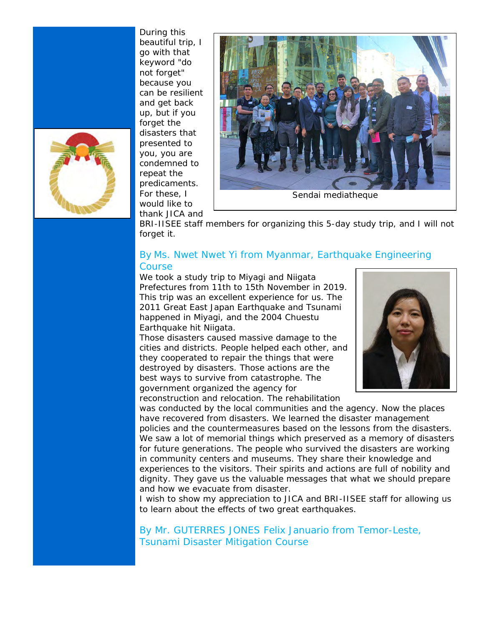

During this beautiful trip, I go with that keyword "do not forget" because you can be resilient and get back up, but if you forget the disasters that presented to you, you are condemned to repeat the predicaments. For these, I would like to thank JICA and



BRI-IISEE staff members for organizing this 5-day study trip, and I will not forget it.

#### By Ms. Nwet Nwet Yi from Myanmar, Earthquake Engineering Course

We took a study trip to Miyagi and Niigata Prefectures from 11th to 15th November in 2019. This trip was an excellent experience for us. The 2011 Great East Japan Earthquake and Tsunami happened in Miyagi, and the 2004 Chuestu Earthquake hit Niigata.

Those disasters caused massive damage to the cities and districts. People helped each other, and they cooperated to repair the things that were destroyed by disasters. Those actions are the best ways to survive from catastrophe. The government organized the agency for reconstruction and relocation. The rehabilitation



was conducted by the local communities and the agency. Now the places have recovered from disasters. We learned the disaster management policies and the countermeasures based on the lessons from the disasters. We saw a lot of memorial things which preserved as a memory of disasters for future generations. The people who survived the disasters are working in community centers and museums. They share their knowledge and experiences to the visitors. Their spirits and actions are full of nobility and dignity. They gave us the valuable messages that what we should prepare and how we evacuate from disaster.

I wish to show my appreciation to JICA and BRI-IISEE staff for allowing us to learn about the effects of two great earthquakes.

By Mr. GUTERRES JONES Felix Januario from Temor-Leste, Tsunami Disaster Mitigation Course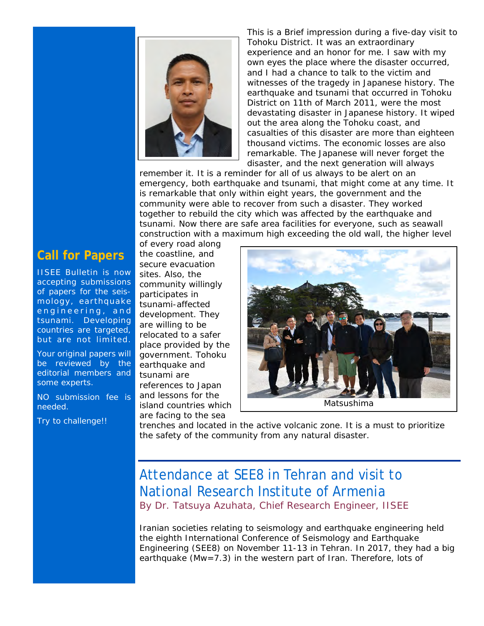

This is a Brief impression during a five-day visit to Tohoku District. It was an extraordinary experience and an honor for me. I saw with my own eyes the place where the disaster occurred, and I had a chance to talk to the victim and witnesses of the tragedy in Japanese history. The earthquake and tsunami that occurred in Tohoku District on 11th of March 2011, were the most devastating disaster in Japanese history. It wiped out the area along the Tohoku coast, and casualties of this disaster are more than eighteen thousand victims. The economic losses are also remarkable. The Japanese will never forget the disaster, and the next generation will always

remember it. It is a reminder for all of us always to be alert on an emergency, both earthquake and tsunami, that might come at any time. It is remarkable that only within eight years, the government and the community were able to recover from such a disaster. They worked together to rebuild the city which was affected by the earthquake and tsunami. Now there are safe area facilities for everyone, such as seawall construction with a maximum high exceeding the old wall, the higher level

## **Call for Papers**

IISEE Bulletin is now accepting submissions of papers for the seismology, earthquake engineering, and tsunami. Developing countries are targeted, but are not limited.

Your original papers will be reviewed by the editorial members and some experts.

NO submission fee is needed.

Try to challenge!!

of every road along the coastline, and secure evacuation sites. Also, the community willingly participates in tsunami-affected development. They are willing to be relocated to a safer place provided by the government. Tohoku earthquake and tsunami are references to Japan and lessons for the island countries which are facing to the sea



Matsushima

trenches and located in the active volcanic zone. It is a must to prioritize the safety of the community from any natural disaster.

## Attendance at SEE8 in Tehran and visit to National Research Institute of Armenia By Dr. Tatsuya Azuhata, Chief Research Engineer, IISEE

Iranian societies relating to seismology and earthquake engineering held the eighth International Conference of Seismology and Earthquake Engineering (SEE8) on November 11-13 in Tehran. In 2017, they had a big earthquake (Mw=7.3) in the western part of Iran. Therefore, lots of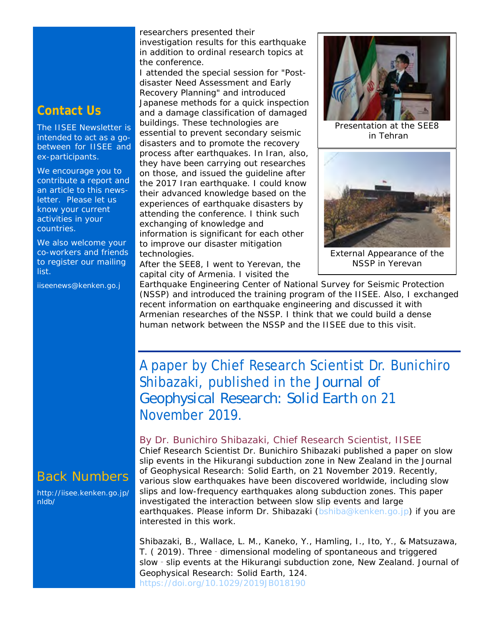### **Contact Us**

The IISEE Newsletter is intended to act as a gobetween for IISEE and ex-participants.

We encourage you to contribute a report and an article to this newsletter. Please let us know your current activities in your countries.

We also welcome your co-workers and friends to register our mailing list.

iiseenews@kenken.go.j

researchers presented their investigation results for this earthquake in addition to ordinal research topics at the conference.

I attended the special session for "Postdisaster Need Assessment and Early Recovery Planning" and introduced Japanese methods for a quick inspection and a damage classification of damaged buildings. These technologies are essential to prevent secondary seismic disasters and to promote the recovery process after earthquakes. In Iran, also, they have been carrying out researches on those, and issued the guideline after the 2017 Iran earthquake. I could know their advanced knowledge based on the experiences of earthquake disasters by attending the conference. I think such exchanging of knowledge and information is significant for each other to improve our disaster mitigation technologies.

After the SEE8, I went to Yerevan, the capital city of Armenia. I visited the



Presentation at the SEE8 in Tehran



External Appearance of the NSSP in Yerevan

Earthquake Engineering Center of National Survey for Seismic Protection (NSSP) and introduced the training program of the IISEE. Also, I exchanged recent information on earthquake engineering and discussed it with Armenian researches of the NSSP. I think that we could build a dense human network between the NSSP and the IISEE due to this visit.

A paper by Chief Research Scientist Dr. Bunichiro Shibazaki, published in the *Journal of Geophysical Research: Solid Earth* on 21 November 2019.

#### By Dr. Bunichiro Shibazaki, Chief Research Scientist, IISEE

Chief Research Scientist Dr. Bunichiro Shibazaki published a paper on slow slip events in the Hikurangi subduction zone in New Zealand in the *Journal of Geophysical Research: Solid Earth,* on 21 November 2019. Recently, various slow earthquakes have been discovered worldwide, including slow slips and low-frequency earthquakes along subduction zones. This paper investigated the interaction between slow slip events and large earthquakes. Please inform Dr. Shibazaki [\(bshiba@kenken.go.jp\)](mailto:bshiba@kenken.go.jp) if you are interested in this work.

Shibazaki, B., Wallace, L. M., Kaneko, Y., Hamling, I., Ito, Y., & Matsuzawa, T. (2019). Three - dimensional modeling of spontaneous and triggered slow - slip events at the Hikurangi subduction zone, New Zealand. Journal of Geophysical Research: Solid Earth, 124. <https://doi.org/10.1029/2019JB018190>

## Back Numbers

[http://iisee.kenken.go.jp/](http://iisee.kenken.go.jp/nldb/) [nldb/](http://iisee.kenken.go.jp/nldb/)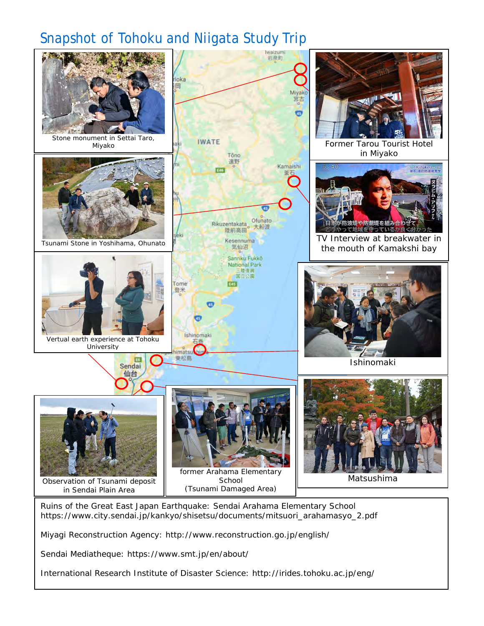## Snapshot of Tohoku and Niigata Study Trip



Ruins of the Great East Japan Earthquake: Sendai Arahama Elementary School [https://www.city.sendai.jp/kankyo/shisetsu/documents/mitsuori\\_arahamasyo\\_2.pdf](https://www.city.sendai.jp/kankyo/shisetsu/documents/mitsuori_arahamasyo_2.pdf)

Miyagi Reconstruction Agency: <http://www.reconstruction.go.jp/english/>

Sendai Mediatheque: https://www.smt.jp/en/about/

International Research Institute of Disaster Science:<http://irides.tohoku.ac.jp/eng/>